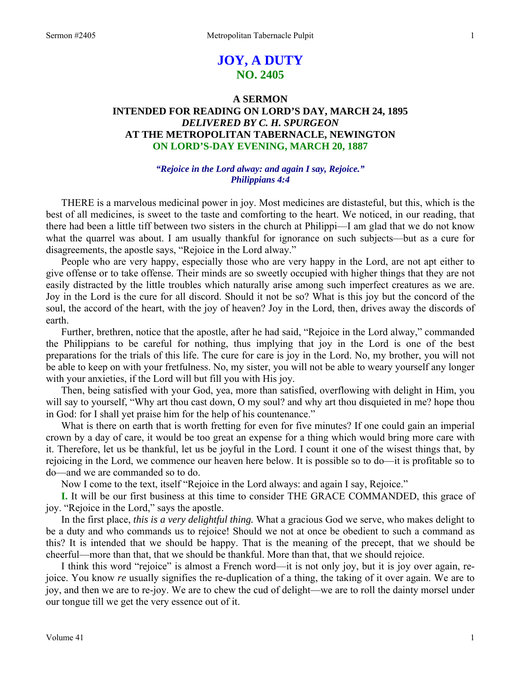# **JOY, A DUTY NO. 2405**

# **A SERMON INTENDED FOR READING ON LORD'S DAY, MARCH 24, 1895**  *DELIVERED BY C. H. SPURGEON*  **AT THE METROPOLITAN TABERNACLE, NEWINGTON ON LORD'S-DAY EVENING, MARCH 20, 1887**

# *"Rejoice in the Lord alway: and again I say, Rejoice." Philippians 4:4*

THERE is a marvelous medicinal power in joy. Most medicines are distasteful, but this, which is the best of all medicines, is sweet to the taste and comforting to the heart. We noticed, in our reading, that there had been a little tiff between two sisters in the church at Philippi—I am glad that we do not know what the quarrel was about. I am usually thankful for ignorance on such subjects—but as a cure for disagreements, the apostle says, "Rejoice in the Lord alway."

People who are very happy, especially those who are very happy in the Lord, are not apt either to give offense or to take offense. Their minds are so sweetly occupied with higher things that they are not easily distracted by the little troubles which naturally arise among such imperfect creatures as we are. Joy in the Lord is the cure for all discord. Should it not be so? What is this joy but the concord of the soul, the accord of the heart, with the joy of heaven? Joy in the Lord, then, drives away the discords of earth.

Further, brethren, notice that the apostle, after he had said, "Rejoice in the Lord alway," commanded the Philippians to be careful for nothing, thus implying that joy in the Lord is one of the best preparations for the trials of this life. The cure for care is joy in the Lord. No, my brother, you will not be able to keep on with your fretfulness. No, my sister, you will not be able to weary yourself any longer with your anxieties, if the Lord will but fill you with His joy.

Then, being satisfied with your God, yea, more than satisfied, overflowing with delight in Him, you will say to yourself, "Why art thou cast down, O my soul? and why art thou disquieted in me? hope thou in God: for I shall yet praise him for the help of his countenance."

What is there on earth that is worth fretting for even for five minutes? If one could gain an imperial crown by a day of care, it would be too great an expense for a thing which would bring more care with it. Therefore, let us be thankful, let us be joyful in the Lord. I count it one of the wisest things that, by rejoicing in the Lord, we commence our heaven here below. It is possible so to do—it is profitable so to do—and we are commanded so to do.

Now I come to the text, itself "Rejoice in the Lord always: and again I say, Rejoice."

**I.** It will be our first business at this time to consider THE GRACE COMMANDED, this grace of joy. "Rejoice in the Lord," says the apostle.

In the first place, *this is a very delightful thing.* What a gracious God we serve, who makes delight to be a duty and who commands us to rejoice! Should we not at once be obedient to such a command as this? It is intended that we should be happy. That is the meaning of the precept, that we should be cheerful—more than that, that we should be thankful. More than that, that we should rejoice.

I think this word "rejoice" is almost a French word—it is not only joy, but it is joy over again, rejoice. You know *re* usually signifies the re-duplication of a thing, the taking of it over again. We are to joy, and then we are to re-joy. We are to chew the cud of delight—we are to roll the dainty morsel under our tongue till we get the very essence out of it.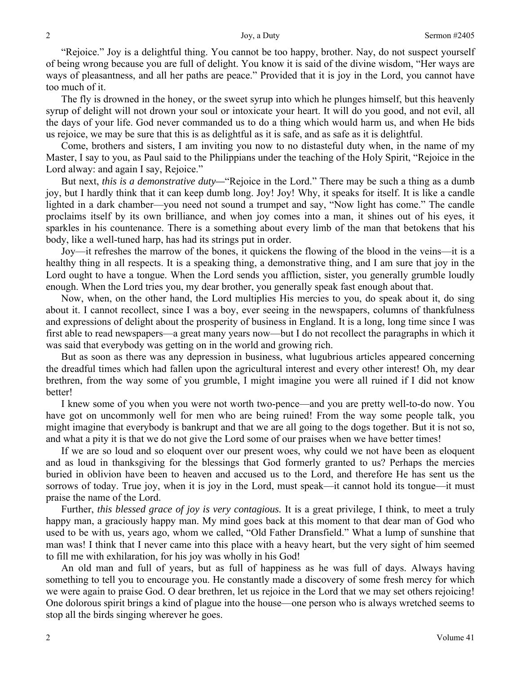"Rejoice." Joy is a delightful thing. You cannot be too happy, brother. Nay, do not suspect yourself of being wrong because you are full of delight. You know it is said of the divine wisdom, "Her ways are ways of pleasantness, and all her paths are peace." Provided that it is joy in the Lord, you cannot have too much of it.

The fly is drowned in the honey, or the sweet syrup into which he plunges himself, but this heavenly syrup of delight will not drown your soul or intoxicate your heart. It will do you good, and not evil, all the days of your life. God never commanded us to do a thing which would harm us, and when He bids us rejoice, we may be sure that this is as delightful as it is safe, and as safe as it is delightful.

Come, brothers and sisters, I am inviting you now to no distasteful duty when, in the name of my Master, I say to you, as Paul said to the Philippians under the teaching of the Holy Spirit, "Rejoice in the Lord alway: and again I say, Rejoice."

But next, *this is a demonstrative duty—*"Rejoice in the Lord." There may be such a thing as a dumb joy, but I hardly think that it can keep dumb long. Joy! Joy! Why, it speaks for itself. It is like a candle lighted in a dark chamber—you need not sound a trumpet and say, "Now light has come." The candle proclaims itself by its own brilliance, and when joy comes into a man, it shines out of his eyes, it sparkles in his countenance. There is a something about every limb of the man that betokens that his body, like a well-tuned harp, has had its strings put in order.

Joy—it refreshes the marrow of the bones, it quickens the flowing of the blood in the veins—it is a healthy thing in all respects. It is a speaking thing, a demonstrative thing, and I am sure that joy in the Lord ought to have a tongue. When the Lord sends you affliction, sister, you generally grumble loudly enough. When the Lord tries you, my dear brother, you generally speak fast enough about that.

Now, when, on the other hand, the Lord multiplies His mercies to you, do speak about it, do sing about it. I cannot recollect, since I was a boy, ever seeing in the newspapers, columns of thankfulness and expressions of delight about the prosperity of business in England. It is a long, long time since I was first able to read newspapers—a great many years now—but I do not recollect the paragraphs in which it was said that everybody was getting on in the world and growing rich.

But as soon as there was any depression in business, what lugubrious articles appeared concerning the dreadful times which had fallen upon the agricultural interest and every other interest! Oh, my dear brethren, from the way some of you grumble, I might imagine you were all ruined if I did not know better!

I knew some of you when you were not worth two-pence—and you are pretty well-to-do now. You have got on uncommonly well for men who are being ruined! From the way some people talk, you might imagine that everybody is bankrupt and that we are all going to the dogs together. But it is not so, and what a pity it is that we do not give the Lord some of our praises when we have better times!

If we are so loud and so eloquent over our present woes, why could we not have been as eloquent and as loud in thanksgiving for the blessings that God formerly granted to us? Perhaps the mercies buried in oblivion have been to heaven and accused us to the Lord, and therefore He has sent us the sorrows of today. True joy, when it is joy in the Lord, must speak—it cannot hold its tongue—it must praise the name of the Lord.

Further, *this blessed grace of joy is very contagious.* It is a great privilege, I think, to meet a truly happy man, a graciously happy man. My mind goes back at this moment to that dear man of God who used to be with us, years ago, whom we called, "Old Father Dransfield." What a lump of sunshine that man was! I think that I never came into this place with a heavy heart, but the very sight of him seemed to fill me with exhilaration, for his joy was wholly in his God!

An old man and full of years, but as full of happiness as he was full of days. Always having something to tell you to encourage you. He constantly made a discovery of some fresh mercy for which we were again to praise God. O dear brethren, let us rejoice in the Lord that we may set others rejoicing! One dolorous spirit brings a kind of plague into the house—one person who is always wretched seems to stop all the birds singing wherever he goes.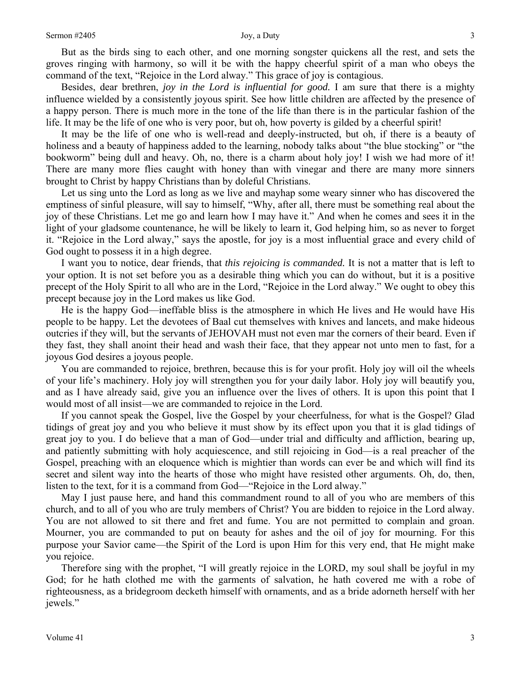But as the birds sing to each other, and one morning songster quickens all the rest, and sets the groves ringing with harmony, so will it be with the happy cheerful spirit of a man who obeys the command of the text, "Rejoice in the Lord alway." This grace of joy is contagious.

Besides, dear brethren, *joy in the Lord is influential for good.* I am sure that there is a mighty influence wielded by a consistently joyous spirit. See how little children are affected by the presence of a happy person. There is much more in the tone of the life than there is in the particular fashion of the life. It may be the life of one who is very poor, but oh, how poverty is gilded by a cheerful spirit!

It may be the life of one who is well-read and deeply-instructed, but oh, if there is a beauty of holiness and a beauty of happiness added to the learning, nobody talks about "the blue stocking" or "the bookworm" being dull and heavy. Oh, no, there is a charm about holy joy! I wish we had more of it! There are many more flies caught with honey than with vinegar and there are many more sinners brought to Christ by happy Christians than by doleful Christians.

Let us sing unto the Lord as long as we live and mayhap some weary sinner who has discovered the emptiness of sinful pleasure, will say to himself, "Why, after all, there must be something real about the joy of these Christians. Let me go and learn how I may have it." And when he comes and sees it in the light of your gladsome countenance, he will be likely to learn it, God helping him, so as never to forget it. "Rejoice in the Lord alway," says the apostle, for joy is a most influential grace and every child of God ought to possess it in a high degree.

I want you to notice, dear friends, that *this rejoicing is commanded.* It is not a matter that is left to your option. It is not set before you as a desirable thing which you can do without, but it is a positive precept of the Holy Spirit to all who are in the Lord, "Rejoice in the Lord alway." We ought to obey this precept because joy in the Lord makes us like God.

He is the happy God—ineffable bliss is the atmosphere in which He lives and He would have His people to be happy. Let the devotees of Baal cut themselves with knives and lancets, and make hideous outcries if they will, but the servants of JEHOVAH must not even mar the corners of their beard. Even if they fast, they shall anoint their head and wash their face, that they appear not unto men to fast, for a joyous God desires a joyous people.

You are commanded to rejoice, brethren, because this is for your profit. Holy joy will oil the wheels of your life's machinery. Holy joy will strengthen you for your daily labor. Holy joy will beautify you, and as I have already said, give you an influence over the lives of others. It is upon this point that I would most of all insist—we are commanded to rejoice in the Lord.

If you cannot speak the Gospel, live the Gospel by your cheerfulness, for what is the Gospel? Glad tidings of great joy and you who believe it must show by its effect upon you that it is glad tidings of great joy to you. I do believe that a man of God—under trial and difficulty and affliction, bearing up, and patiently submitting with holy acquiescence, and still rejoicing in God—is a real preacher of the Gospel, preaching with an eloquence which is mightier than words can ever be and which will find its secret and silent way into the hearts of those who might have resisted other arguments. Oh, do, then, listen to the text, for it is a command from God—"Rejoice in the Lord alway."

May I just pause here, and hand this commandment round to all of you who are members of this church, and to all of you who are truly members of Christ? You are bidden to rejoice in the Lord alway. You are not allowed to sit there and fret and fume. You are not permitted to complain and groan. Mourner, you are commanded to put on beauty for ashes and the oil of joy for mourning. For this purpose your Savior came—the Spirit of the Lord is upon Him for this very end, that He might make you rejoice.

Therefore sing with the prophet, "I will greatly rejoice in the LORD, my soul shall be joyful in my God; for he hath clothed me with the garments of salvation, he hath covered me with a robe of righteousness, as a bridegroom decketh himself with ornaments, and as a bride adorneth herself with her jewels."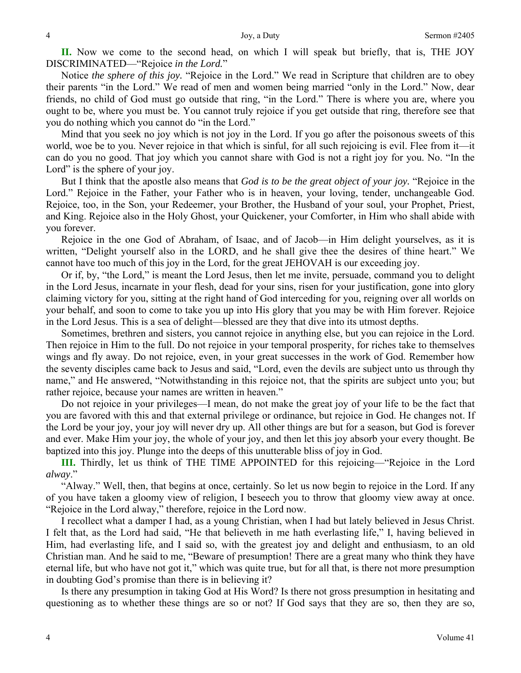**II.** Now we come to the second head, on which I will speak but briefly, that is, THE JOY DISCRIMINATED—"Rejoice *in the Lord.*"

Notice *the sphere of this joy.* "Rejoice in the Lord." We read in Scripture that children are to obey their parents "in the Lord." We read of men and women being married "only in the Lord." Now, dear friends, no child of God must go outside that ring, "in the Lord." There is where you are, where you ought to be, where you must be. You cannot truly rejoice if you get outside that ring, therefore see that you do nothing which you cannot do "in the Lord."

Mind that you seek no joy which is not joy in the Lord. If you go after the poisonous sweets of this world, woe be to you. Never rejoice in that which is sinful, for all such rejoicing is evil. Flee from it—it can do you no good. That joy which you cannot share with God is not a right joy for you. No. "In the Lord" is the sphere of your joy.

But I think that the apostle also means that *God is to be the great object of your joy.* "Rejoice in the Lord." Rejoice in the Father, your Father who is in heaven, your loving, tender, unchangeable God. Rejoice, too, in the Son, your Redeemer, your Brother, the Husband of your soul, your Prophet, Priest, and King. Rejoice also in the Holy Ghost, your Quickener, your Comforter, in Him who shall abide with you forever.

Rejoice in the one God of Abraham, of Isaac, and of Jacob—in Him delight yourselves, as it is written, "Delight yourself also in the LORD, and he shall give thee the desires of thine heart." We cannot have too much of this joy in the Lord, for the great JEHOVAH is our exceeding joy.

Or if, by, "the Lord," is meant the Lord Jesus, then let me invite, persuade, command you to delight in the Lord Jesus, incarnate in your flesh, dead for your sins, risen for your justification, gone into glory claiming victory for you, sitting at the right hand of God interceding for you, reigning over all worlds on your behalf, and soon to come to take you up into His glory that you may be with Him forever. Rejoice in the Lord Jesus. This is a sea of delight—blessed are they that dive into its utmost depths.

Sometimes, brethren and sisters, you cannot rejoice in anything else, but you can rejoice in the Lord. Then rejoice in Him to the full. Do not rejoice in your temporal prosperity, for riches take to themselves wings and fly away. Do not rejoice, even, in your great successes in the work of God. Remember how the seventy disciples came back to Jesus and said, "Lord, even the devils are subject unto us through thy name," and He answered, "Notwithstanding in this rejoice not, that the spirits are subject unto you; but rather rejoice, because your names are written in heaven."

Do not rejoice in your privileges—I mean, do not make the great joy of your life to be the fact that you are favored with this and that external privilege or ordinance, but rejoice in God. He changes not. If the Lord be your joy, your joy will never dry up. All other things are but for a season, but God is forever and ever. Make Him your joy, the whole of your joy, and then let this joy absorb your every thought. Be baptized into this joy. Plunge into the deeps of this unutterable bliss of joy in God.

**III.** Thirdly, let us think of THE TIME APPOINTED for this rejoicing—"Rejoice in the Lord *alway*."

"Alway." Well, then, that begins at once, certainly. So let us now begin to rejoice in the Lord. If any of you have taken a gloomy view of religion, I beseech you to throw that gloomy view away at once. "Rejoice in the Lord alway," therefore, rejoice in the Lord now.

I recollect what a damper I had, as a young Christian, when I had but lately believed in Jesus Christ. I felt that, as the Lord had said, "He that believeth in me hath everlasting life," I, having believed in Him, had everlasting life, and I said so, with the greatest joy and delight and enthusiasm, to an old Christian man. And he said to me, "Beware of presumption! There are a great many who think they have eternal life, but who have not got it," which was quite true, but for all that, is there not more presumption in doubting God's promise than there is in believing it?

Is there any presumption in taking God at His Word? Is there not gross presumption in hesitating and questioning as to whether these things are so or not? If God says that they are so, then they are so,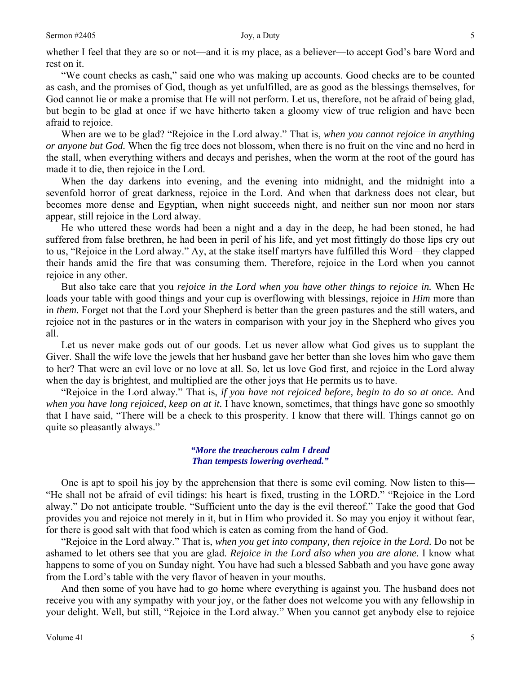whether I feel that they are so or not—and it is my place, as a believer—to accept God's bare Word and rest on it.

"We count checks as cash," said one who was making up accounts. Good checks are to be counted as cash, and the promises of God, though as yet unfulfilled, are as good as the blessings themselves, for God cannot lie or make a promise that He will not perform. Let us, therefore, not be afraid of being glad, but begin to be glad at once if we have hitherto taken a gloomy view of true religion and have been afraid to rejoice.

When are we to be glad? "Rejoice in the Lord alway." That is, *when you cannot rejoice in anything or anyone but God.* When the fig tree does not blossom, when there is no fruit on the vine and no herd in the stall, when everything withers and decays and perishes, when the worm at the root of the gourd has made it to die, then rejoice in the Lord.

When the day darkens into evening, and the evening into midnight, and the midnight into a sevenfold horror of great darkness, rejoice in the Lord. And when that darkness does not clear, but becomes more dense and Egyptian, when night succeeds night, and neither sun nor moon nor stars appear, still rejoice in the Lord alway.

He who uttered these words had been a night and a day in the deep, he had been stoned, he had suffered from false brethren, he had been in peril of his life, and yet most fittingly do those lips cry out to us, "Rejoice in the Lord alway." Ay, at the stake itself martyrs have fulfilled this Word—they clapped their hands amid the fire that was consuming them. Therefore, rejoice in the Lord when you cannot rejoice in any other.

But also take care that you *rejoice in the Lord when you have other things to rejoice in.* When He loads your table with good things and your cup is overflowing with blessings, rejoice in *Him* more than in *them.* Forget not that the Lord your Shepherd is better than the green pastures and the still waters, and rejoice not in the pastures or in the waters in comparison with your joy in the Shepherd who gives you all.

Let us never make gods out of our goods. Let us never allow what God gives us to supplant the Giver. Shall the wife love the jewels that her husband gave her better than she loves him who gave them to her? That were an evil love or no love at all. So, let us love God first, and rejoice in the Lord alway when the day is brightest, and multiplied are the other joys that He permits us to have.

"Rejoice in the Lord alway." That is, *if you have not rejoiced before, begin to do so at once.* And *when you have long rejoiced, keep on at it.* I have known, sometimes, that things have gone so smoothly that I have said, "There will be a check to this prosperity. I know that there will. Things cannot go on quite so pleasantly always."

#### *"More the treacherous calm I dread Than tempests lowering overhead."*

One is apt to spoil his joy by the apprehension that there is some evil coming. Now listen to this— "He shall not be afraid of evil tidings: his heart is fixed, trusting in the LORD." "Rejoice in the Lord alway." Do not anticipate trouble. "Sufficient unto the day is the evil thereof." Take the good that God provides you and rejoice not merely in it, but in Him who provided it. So may you enjoy it without fear, for there is good salt with that food which is eaten as coming from the hand of God.

"Rejoice in the Lord alway." That is, *when you get into company, then rejoice in the Lord.* Do not be ashamed to let others see that you are glad. *Rejoice in the Lord also when you are alone.* I know what happens to some of you on Sunday night. You have had such a blessed Sabbath and you have gone away from the Lord's table with the very flavor of heaven in your mouths.

And then some of you have had to go home where everything is against you. The husband does not receive you with any sympathy with your joy, or the father does not welcome you with any fellowship in your delight. Well, but still, "Rejoice in the Lord alway*.*" When you cannot get anybody else to rejoice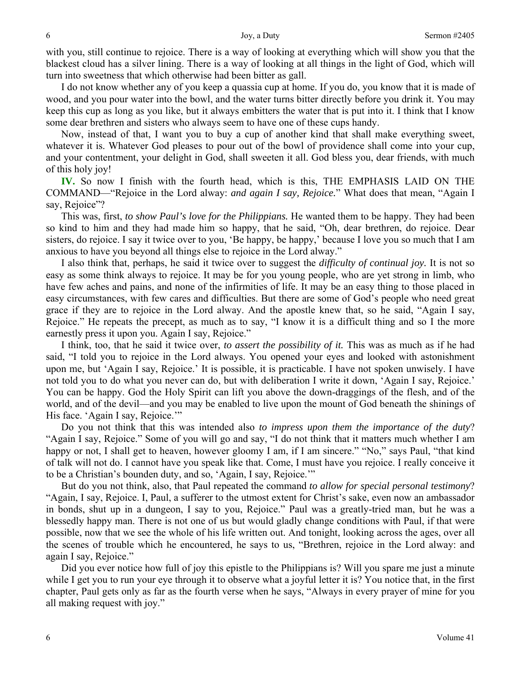with you, still continue to rejoice. There is a way of looking at everything which will show you that the blackest cloud has a silver lining. There is a way of looking at all things in the light of God, which will turn into sweetness that which otherwise had been bitter as gall.

I do not know whether any of you keep a quassia cup at home. If you do, you know that it is made of wood, and you pour water into the bowl, and the water turns bitter directly before you drink it. You may keep this cup as long as you like, but it always embitters the water that is put into it. I think that I know some dear brethren and sisters who always seem to have one of these cups handy.

Now, instead of that, I want you to buy a cup of another kind that shall make everything sweet, whatever it is. Whatever God pleases to pour out of the bowl of providence shall come into your cup, and your contentment, your delight in God, shall sweeten it all. God bless you, dear friends, with much of this holy joy!

**IV.** So now I finish with the fourth head, which is this, THE EMPHASIS LAID ON THE COMMAND—"Rejoice in the Lord alway: *and again I say, Rejoice.*" What does that mean, "Again I say, Rejoice"?

This was, first, *to show Paul's love for the Philippians.* He wanted them to be happy. They had been so kind to him and they had made him so happy, that he said, "Oh, dear brethren, do rejoice. Dear sisters, do rejoice. I say it twice over to you, 'Be happy, be happy,' because I love you so much that I am anxious to have you beyond all things else to rejoice in the Lord alway."

I also think that, perhaps, he said it twice over to suggest the *difficulty of continual joy.* It is not so easy as some think always to rejoice. It may be for you young people, who are yet strong in limb, who have few aches and pains, and none of the infirmities of life. It may be an easy thing to those placed in easy circumstances, with few cares and difficulties. But there are some of God's people who need great grace if they are to rejoice in the Lord alway. And the apostle knew that, so he said, "Again I say, Rejoice." He repeats the precept, as much as to say, "I know it is a difficult thing and so I the more earnestly press it upon you. Again I say, Rejoice."

I think, too, that he said it twice over, *to assert the possibility of it.* This was as much as if he had said, "I told you to rejoice in the Lord always. You opened your eyes and looked with astonishment upon me, but 'Again I say, Rejoice.' It is possible, it is practicable. I have not spoken unwisely. I have not told you to do what you never can do, but with deliberation I write it down, 'Again I say, Rejoice.' You can be happy. God the Holy Spirit can lift you above the down-draggings of the flesh, and of the world, and of the devil—and you may be enabled to live upon the mount of God beneath the shinings of His face. 'Again I say, Rejoice.'"

Do you not think that this was intended also *to impress upon them the importance of the duty*? "Again I say, Rejoice." Some of you will go and say, "I do not think that it matters much whether I am happy or not, I shall get to heaven, however gloomy I am, if I am sincere." "No," says Paul, "that kind of talk will not do. I cannot have you speak like that. Come, I must have you rejoice. I really conceive it to be a Christian's bounden duty, and so, 'Again, I say, Rejoice.'"

But do you not think, also, that Paul repeated the command *to allow for special personal testimony*? "Again, I say, Rejoice. I, Paul, a sufferer to the utmost extent for Christ's sake, even now an ambassador in bonds, shut up in a dungeon, I say to you, Rejoice." Paul was a greatly-tried man, but he was a blessedly happy man. There is not one of us but would gladly change conditions with Paul, if that were possible, now that we see the whole of his life written out. And tonight, looking across the ages, over all the scenes of trouble which he encountered, he says to us, "Brethren, rejoice in the Lord alway: and again I say, Rejoice."

Did you ever notice how full of joy this epistle to the Philippians is? Will you spare me just a minute while I get you to run your eye through it to observe what a joyful letter it is? You notice that, in the first chapter, Paul gets only as far as the fourth verse when he says, "Always in every prayer of mine for you all making request with joy."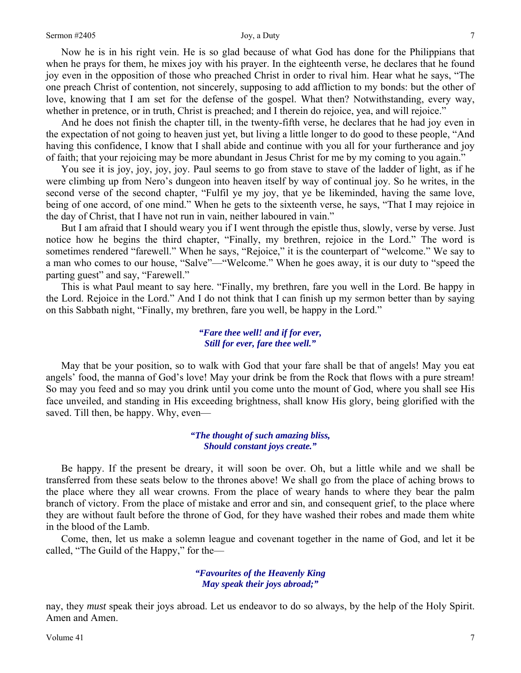Now he is in his right vein. He is so glad because of what God has done for the Philippians that when he prays for them, he mixes joy with his prayer. In the eighteenth verse, he declares that he found joy even in the opposition of those who preached Christ in order to rival him. Hear what he says, "The one preach Christ of contention, not sincerely, supposing to add affliction to my bonds: but the other of love, knowing that I am set for the defense of the gospel. What then? Notwithstanding, every way, whether in pretence, or in truth, Christ is preached; and I therein do rejoice, yea, and will rejoice."

And he does not finish the chapter till, in the twenty-fifth verse, he declares that he had joy even in the expectation of not going to heaven just yet, but living a little longer to do good to these people, "And having this confidence, I know that I shall abide and continue with you all for your furtherance and joy of faith; that your rejoicing may be more abundant in Jesus Christ for me by my coming to you again."

You see it is joy, joy, joy, joy. Paul seems to go from stave to stave of the ladder of light, as if he were climbing up from Nero's dungeon into heaven itself by way of continual joy. So he writes, in the second verse of the second chapter, "Fulfil ye my joy, that ye be likeminded, having the same love, being of one accord, of one mind." When he gets to the sixteenth verse, he says, "That I may rejoice in the day of Christ, that I have not run in vain, neither laboured in vain."

But I am afraid that I should weary you if I went through the epistle thus, slowly, verse by verse. Just notice how he begins the third chapter, "Finally, my brethren, rejoice in the Lord." The word is sometimes rendered "farewell." When he says, "Rejoice," it is the counterpart of "welcome." We say to a man who comes to our house, "Salve"—"Welcome." When he goes away, it is our duty to "speed the parting guest" and say, "Farewell."

This is what Paul meant to say here. "Finally, my brethren, fare you well in the Lord. Be happy in the Lord. Rejoice in the Lord." And I do not think that I can finish up my sermon better than by saying on this Sabbath night, "Finally, my brethren, fare you well, be happy in the Lord."

#### *"Fare thee well! and if for ever, Still for ever, fare thee well."*

May that be your position, so to walk with God that your fare shall be that of angels! May you eat angels' food, the manna of God's love! May your drink be from the Rock that flows with a pure stream! So may you feed and so may you drink until you come unto the mount of God, where you shall see His face unveiled, and standing in His exceeding brightness, shall know His glory, being glorified with the saved. Till then, be happy. Why, even—

### *"The thought of such amazing bliss, Should constant joys create."*

Be happy. If the present be dreary, it will soon be over. Oh, but a little while and we shall be transferred from these seats below to the thrones above! We shall go from the place of aching brows to the place where they all wear crowns. From the place of weary hands to where they bear the palm branch of victory. From the place of mistake and error and sin, and consequent grief, to the place where they are without fault before the throne of God, for they have washed their robes and made them white in the blood of the Lamb.

Come, then, let us make a solemn league and covenant together in the name of God, and let it be called, "The Guild of the Happy," for the—

#### *"Favourites of the Heavenly King May speak their joys abroad;"*

nay, they *must* speak their joys abroad. Let us endeavor to do so always, by the help of the Holy Spirit. Amen and Amen.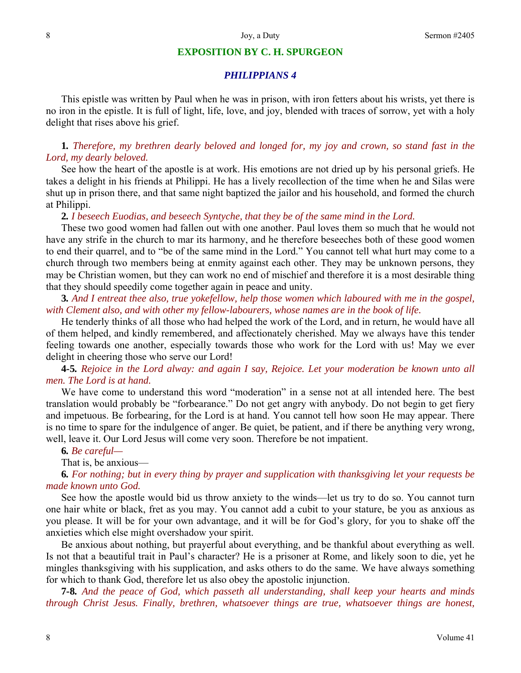#### **EXPOSITION BY C. H. SPURGEON**

## *PHILIPPIANS 4*

This epistle was written by Paul when he was in prison, with iron fetters about his wrists, yet there is no iron in the epistle. It is full of light, life, love, and joy, blended with traces of sorrow, yet with a holy delight that rises above his grief.

# **1***. Therefore, my brethren dearly beloved and longed for, my joy and crown, so stand fast in the Lord, my dearly beloved.*

See how the heart of the apostle is at work. His emotions are not dried up by his personal griefs. He takes a delight in his friends at Philippi. He has a lively recollection of the time when he and Silas were shut up in prison there, and that same night baptized the jailor and his household, and formed the church at Philippi.

**2***. I beseech Euodias, and beseech Syntyche, that they be of the same mind in the Lord.*

These two good women had fallen out with one another. Paul loves them so much that he would not have any strife in the church to mar its harmony, and he therefore beseeches both of these good women to end their quarrel, and to "be of the same mind in the Lord." You cannot tell what hurt may come to a church through two members being at enmity against each other. They may be unknown persons, they may be Christian women, but they can work no end of mischief and therefore it is a most desirable thing that they should speedily come together again in peace and unity.

**3***. And I entreat thee also, true yokefellow, help those women which laboured with me in the gospel, with Clement also, and with other my fellow-labourers, whose names are in the book of life.*

He tenderly thinks of all those who had helped the work of the Lord, and in return, he would have all of them helped, and kindly remembered, and affectionately cherished. May we always have this tender feeling towards one another, especially towards those who work for the Lord with us! May we ever delight in cheering those who serve our Lord!

**4***-***5***. Rejoice in the Lord alway: and again I say, Rejoice. Let your moderation be known unto all men. The Lord is at hand.*

We have come to understand this word "moderation" in a sense not at all intended here. The best translation would probably be "forbearance." Do not get angry with anybody. Do not begin to get fiery and impetuous. Be forbearing, for the Lord is at hand. You cannot tell how soon He may appear. There is no time to spare for the indulgence of anger. Be quiet, be patient, and if there be anything very wrong, well, leave it. Our Lord Jesus will come very soon. Therefore be not impatient.

### **6***. Be careful—*

That is, be anxious—

**6***. For nothing; but in every thing by prayer and supplication with thanksgiving let your requests be made known unto God.*

See how the apostle would bid us throw anxiety to the winds—let us try to do so. You cannot turn one hair white or black, fret as you may. You cannot add a cubit to your stature, be you as anxious as you please. It will be for your own advantage, and it will be for God's glory, for you to shake off the anxieties which else might overshadow your spirit.

Be anxious about nothing, but prayerful about everything, and be thankful about everything as well. Is not that a beautiful trait in Paul's character? He is a prisoner at Rome, and likely soon to die, yet he mingles thanksgiving with his supplication, and asks others to do the same. We have always something for which to thank God, therefore let us also obey the apostolic injunction.

**7***-***8***. And the peace of God, which passeth all understanding, shall keep your hearts and minds through Christ Jesus. Finally, brethren, whatsoever things are true, whatsoever things are honest,*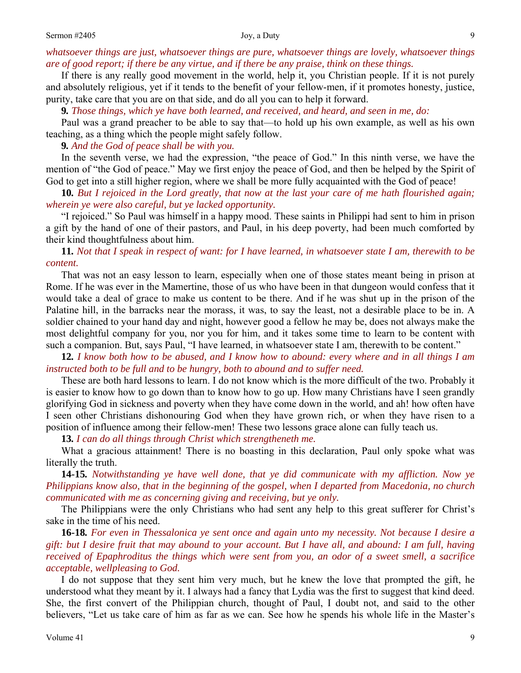# *whatsoever things are just, whatsoever things are pure, whatsoever things are lovely, whatsoever things are of good report; if there be any virtue, and if there be any praise, think on these things.*

If there is any really good movement in the world, help it, you Christian people. If it is not purely and absolutely religious, yet if it tends to the benefit of your fellow-men, if it promotes honesty, justice, purity, take care that you are on that side, and do all you can to help it forward.

**9***. Those things, which ye have both learned, and received, and heard, and seen in me, do:*

Paul was a grand preacher to be able to say that—to hold up his own example, as well as his own teaching, as a thing which the people might safely follow.

**9***. And the God of peace shall be with you.*

In the seventh verse, we had the expression, "the peace of God." In this ninth verse, we have the mention of "the God of peace." May we first enjoy the peace of God, and then be helped by the Spirit of God to get into a still higher region, where we shall be more fully acquainted with the God of peace!

**10***. But I rejoiced in the Lord greatly, that now at the last your care of me hath flourished again; wherein ye were also careful, but ye lacked opportunity.*

"I rejoiced." So Paul was himself in a happy mood. These saints in Philippi had sent to him in prison a gift by the hand of one of their pastors, and Paul, in his deep poverty, had been much comforted by their kind thoughtfulness about him.

**11***. Not that I speak in respect of want: for I have learned, in whatsoever state I am, therewith to be content.* 

That was not an easy lesson to learn, especially when one of those states meant being in prison at Rome. If he was ever in the Mamertine, those of us who have been in that dungeon would confess that it would take a deal of grace to make us content to be there. And if he was shut up in the prison of the Palatine hill, in the barracks near the morass, it was, to say the least, not a desirable place to be in. A soldier chained to your hand day and night, however good a fellow he may be, does not always make the most delightful company for you, nor you for him, and it takes some time to learn to be content with such a companion. But, says Paul, "I have learned, in whatsoever state I am, therewith to be content."

**12***. I know both how to be abused, and I know how to abound: every where and in all things I am instructed both to be full and to be hungry, both to abound and to suffer need.*

These are both hard lessons to learn. I do not know which is the more difficult of the two. Probably it is easier to know how to go down than to know how to go up. How many Christians have I seen grandly glorifying God in sickness and poverty when they have come down in the world, and ah! how often have I seen other Christians dishonouring God when they have grown rich, or when they have risen to a position of influence among their fellow-men! These two lessons grace alone can fully teach us.

**13***. I can do all things through Christ which strengtheneth me.*

What a gracious attainment! There is no boasting in this declaration, Paul only spoke what was literally the truth.

**14***-***15***. Notwithstanding ye have well done, that ye did communicate with my affliction. Now ye Philippians know also, that in the beginning of the gospel, when I departed from Macedonia, no church communicated with me as concerning giving and receiving, but ye only.*

The Philippians were the only Christians who had sent any help to this great sufferer for Christ's sake in the time of his need.

**16***-***18***. For even in Thessalonica ye sent once and again unto my necessity. Not because I desire a gift: but I desire fruit that may abound to your account. But I have all, and abound: I am full, having received of Epaphroditus the things which were sent from you, an odor of a sweet smell, a sacrifice acceptable, wellpleasing to God.* 

I do not suppose that they sent him very much, but he knew the love that prompted the gift, he understood what they meant by it. I always had a fancy that Lydia was the first to suggest that kind deed. She, the first convert of the Philippian church, thought of Paul, I doubt not, and said to the other believers, "Let us take care of him as far as we can. See how he spends his whole life in the Master's